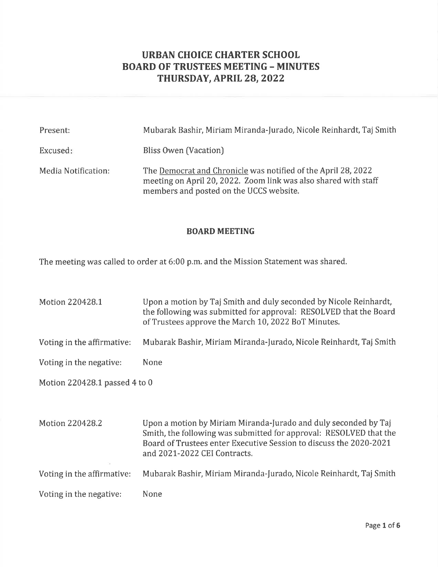# URBAN CHOICE CHARTER SCHOOL BOARD OF TRUSTEES MEETING - MINUTES THURSDAY, APRIL 28, 2022

| Present:            | Mubarak Bashir, Miriam Miranda-Jurado, Nicole Reinhardt, Taj Smith                                                                                                          |
|---------------------|-----------------------------------------------------------------------------------------------------------------------------------------------------------------------------|
| Excused:            | Bliss Owen (Vacation)                                                                                                                                                       |
| Media Notification: | The Democrat and Chronicle was notified of the April 28, 2022<br>meeting on April 20, 2022. Zoom link was also shared with staff<br>members and posted on the UCCS website. |

# BOARD MEETING

The meeting was called to order at 6:00 p.m. and the Mission Statement was shared.

| Motion 220428.1               | Upon a motion by Taj Smith and duly seconded by Nicole Reinhardt,<br>the following was submitted for approval: RESOLVED that the Board<br>of Trustees approve the March 10, 2022 BoT Minutes.                                               |  |  |  |
|-------------------------------|---------------------------------------------------------------------------------------------------------------------------------------------------------------------------------------------------------------------------------------------|--|--|--|
| Voting in the affirmative:    | Mubarak Bashir, Miriam Miranda-Jurado, Nicole Reinhardt, Taj Smith                                                                                                                                                                          |  |  |  |
| Voting in the negative:       | None                                                                                                                                                                                                                                        |  |  |  |
| Motion 220428.1 passed 4 to 0 |                                                                                                                                                                                                                                             |  |  |  |
|                               |                                                                                                                                                                                                                                             |  |  |  |
| Motion 220428.2               | Upon a motion by Miriam Miranda-Jurado and duly seconded by Taj<br>Smith, the following was submitted for approval: RESOLVED that the<br>Board of Trustees enter Executive Session to discuss the 2020-2021<br>and 2021-2022 CEI Contracts. |  |  |  |
| Voting in the affirmative:    | Mubarak Bashir, Miriam Miranda-Jurado, Nicole Reinhardt, Taj Smith                                                                                                                                                                          |  |  |  |
| Voting in the negative:       | None                                                                                                                                                                                                                                        |  |  |  |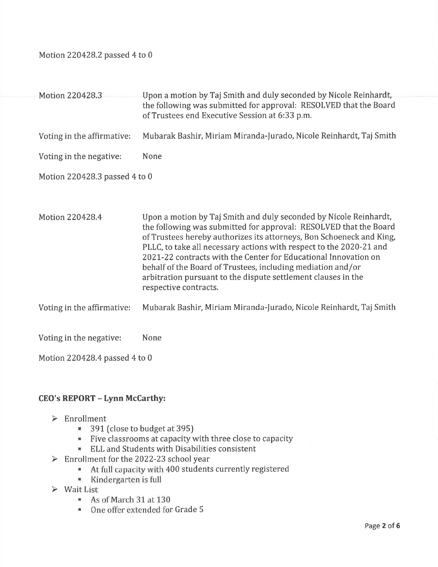Motion 220428.2 passed 4 to 0

Motion 220428.3 Upon a motion by Taj Smith and duly seconded by Nicole Reinhardt, the following was submitted for approval: RESOLVED that the Board of Trustees end Executive Session at 6:33 p.m. Voting in the affirmative: Mubarak Bashir, Miriam Miranda-furado, Nicole Reinhardt, Taj Smith Voting in the negative: None Motion 220428.3 passed 4 to 0 Motion 220428.4 Upon a motion by Taj Smith and duly seconded by Nicole Reinhardt, the following was submitted for approval: RESOLVED that the Board of Trustees hereby authorizes its attorneys, Bon Schoeneck and King, PLLC, to take all necessary actions with respect to the 2020-21 and Z02I-22 contracts with the Center for Educational Innovation on behalf of the Board of Trustees, including mediation and/or arbitration pursuant to the dispute settlement clauses in the respective contracts. Voting in the affirmative: Mubarak Bashir, Miriam Miranda-Jurado, Nicole Reinhardt, Taj Smith Voting in the negative: None

Motion 220428.4 passed 4 to 0

# CEO's REPORT - Lynn McCarthy:

- 
- Enrollment<br> $\approx$  391 (close to budget at 395)
	- Five classrooms at capacity with three close to capacity
	- . ELL and Students with Disabilities consistent
	-
- Enrollment for the 2022-23 school year<br>At full capacity with 400 students currently registered
	- . Kindergarten is full
- 
- $\triangleright$  Wait List<br>• As of March 31 at 130
	- . One offer extended for Grade <sup>5</sup>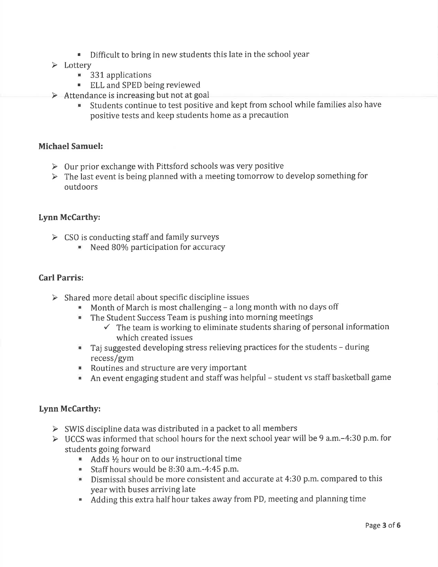- $\bullet$  Difficult to bring in new students this late in the school year  $\blacktriangleright$  Lottery
- - **331** applications
	- **ELL and SPED being reviewed**
- 
- > Attendance is increasing but not at goal<br>Students continue to test positive and kept from school while families also have positive tests and keep students home as a precaution

#### Michael Samuel:

- $\triangleright$  Our prior exchange with Pittsford schools was very positive
- $\triangleright$  The last event is being planned with a meeting tomorrow to develop something for outdoors

#### Lynn McCarthy:

- $\triangleright$  CSO is conducting staff and family surveys
	- ' Need 80% participation for accuracy

#### Carl Parris:

- 
- > Shared more detail about specific discipline issues<br>
Month of March is most challenging a long month with no days off<br>
The Student Success Team is pushing into morning meetings
	- - $\checkmark$  The team is working to eliminate students sharing of personal information which created issues
	- . Taj suggested developing stress relieving practices for the students during recess/gym
	- . Routines and structure are very important
	- $\blacksquare$  An event engaging student and staff was helpful student vs staff basketball game

## Lynn McCarthy:

- $\triangleright$  SWIS discipline data was distributed in a packet to all members
- ▶ UCCS was informed that school hours for the next school year will be 9 a.m. -4:30 p.m. for students going forward
	- Adds  $\frac{1}{2}$  hour on to our instructional time
	- . Staff hours would be 8:30 a.m.-4:45 p.m.
	- $\blacksquare$  Dismissal should be more consistent and accurate at 4:30 p.m. compared to this year with buses arriving late
	- . Adding this extra half hour takes away from PD, meeting and planning time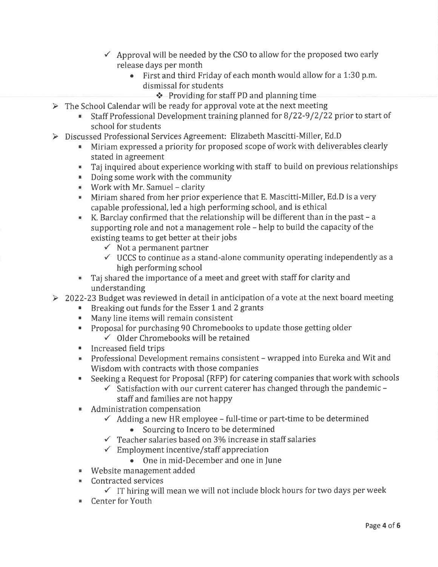- $\checkmark$  Approval will be needed by the CSO to allow for the proposed two early release days per month
	- $\bullet$  First and third Friday of each month would allow for a 1:30 p.m. dismissal for students
		-
- \* Providing for staff PD and planning time<br>The School Calendar will be ready for approval vote at the next meeting
	- $\blacksquare$  Staff Professional Development training planned for 8/22-9/2/22 prior to start of
- school for students<br>
> Discussed Professional Services Agreement: Elizabeth Mascitti-Miller, Ed.D
	- . Miriam expressed a priority for proposed scope of work with deliverables clearly stated in agreement
	- **Taj inquired about experience working with staff to build on previous relationships**
	- **Doing some work with the community**
	- $\blacksquare$  Work with Mr. Samuel clarity
	- $\blacksquare$  Miriam shared from her prior experience that E. Mascitti-Miller, Ed.D is a very capable professional, led a high performing school, and is ethical
	- K. Barclay confirmed that the relationship will be different than in the past  $-$  a supporting role and not a management role  $-$  help to build the capacity of the existing teams to get better at their jobs
		-
		- $\checkmark$  Not a permanent partner<br> $\checkmark$  UCCS to continue as a stand-alone community operating independently as a high performing school
	- . Taj shared the importance of a meet and greet with staff for clarity and
- understanding<br>2022-23 Budget was reviewed in detail in anticipation of a vote at the next board meeting
	- . Breaking out funds for the Esser 1 and 2 grants
	- **Many line items will remain consistent**
	- . Proposal for purchasing 90 Chromebooks to update those getting older
		- $\checkmark$  Older Chromebooks will be retained
	- **Increased field trips**
	- . Professional Development remains consistent wrapped into Eureka and Wit and Wisdom with contracts with those companies
	- Seeking a Request for Proposal (RFP) for catering companies that work with schools  $\checkmark$  Satisfaction with our current caterer has changed through the pandemic
		- staff and families are not happy
	-
	- **4** Administration compensation<br>  $\checkmark$  Adding a new HR employee full-time or part-time to be determined<br>
	 Sourcing to Incero to be determined
		-
		- $\checkmark$  Teacher salaries based on 3% increase in staff salaries  $\checkmark$  Employment incentive/staff appreciation
		- - One in mid-December and one in June
	- **EXECUTE:** Website management added<br>**EXECUTE:** Contracted services
	- - $\checkmark$  IT hiring will mean we will not include block hours for two days per week
	- **E** Center for Youth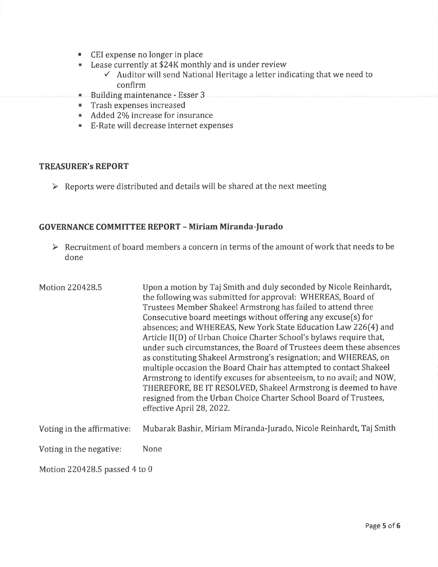- **CEI expense no longer in place**
- Lease currently at \$24K monthly and is under review
	- $\checkmark$  Auditor will send National Heritage a letter indicating that we need to confirm
- Building maintenance Esser 3
- **Trash expenses increased**
- $\blacksquare$  Added 2% increase for insurance
- **E-Rate will decrease internet expenses**

#### TREASURER's REPORT

 $\triangleright$  Reports were distributed and details will be shared at the next meeting

### GOVERNANCE COMMITTEE REPORT - Miriam Miranda-furado

 $\triangleright$  Recruitment of board members a concern in terms of the amount of work that needs to be done

| Motion 220428.5               | Upon a motion by Taj Smith and duly seconded by Nicole Reinhardt,<br>the following was submitted for approval: WHEREAS, Board of<br>Trustees Member Shakeel Armstrong has failed to attend three<br>Consecutive board meetings without offering any excuse(s) for<br>absences; and WHEREAS, New York State Education Law 226(4) and<br>Article II(D) of Urban Choice Charter School's bylaws require that,<br>under such circumstances, the Board of Trustees deem these absences<br>as constituting Shakeel Armstrong's resignation; and WHEREAS, on<br>multiple occasion the Board Chair has attempted to contact Shakeel<br>Armstrong to identify excuses for absenteeism, to no avail; and NOW,<br>THEREFORE, BE IT RESOLVED, Shakeel Armstrong is deemed to have<br>resigned from the Urban Choice Charter School Board of Trustees,<br>effective April 28, 2022. |
|-------------------------------|------------------------------------------------------------------------------------------------------------------------------------------------------------------------------------------------------------------------------------------------------------------------------------------------------------------------------------------------------------------------------------------------------------------------------------------------------------------------------------------------------------------------------------------------------------------------------------------------------------------------------------------------------------------------------------------------------------------------------------------------------------------------------------------------------------------------------------------------------------------------|
| Voting in the affirmative:    | Mubarak Bashir, Miriam Miranda-Jurado, Nicole Reinhardt, Taj Smith                                                                                                                                                                                                                                                                                                                                                                                                                                                                                                                                                                                                                                                                                                                                                                                                     |
| Voting in the negative:       | None                                                                                                                                                                                                                                                                                                                                                                                                                                                                                                                                                                                                                                                                                                                                                                                                                                                                   |
| Motion 220428.5 passed 4 to 0 |                                                                                                                                                                                                                                                                                                                                                                                                                                                                                                                                                                                                                                                                                                                                                                                                                                                                        |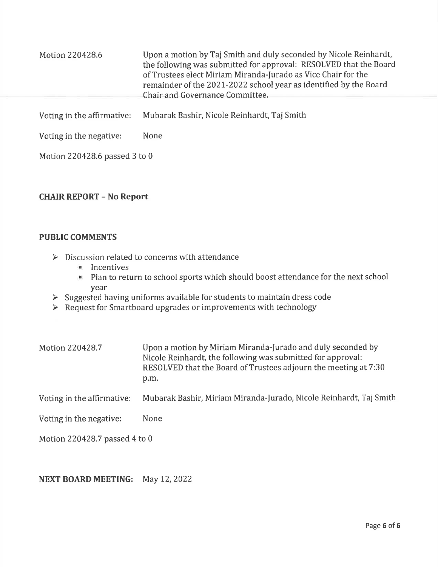| Motion 220428.6            | Upon a motion by Taj Smith and duly seconded by Nicole Reinhardt,<br>the following was submitted for approval: RESOLVED that the Board<br>of Trustees elect Miriam Miranda-Jurado as Vice Chair for the<br>remainder of the 2021-2022 school year as identified by the Board<br>Chair and Governance Committee. |
|----------------------------|-----------------------------------------------------------------------------------------------------------------------------------------------------------------------------------------------------------------------------------------------------------------------------------------------------------------|
| Voting in the affirmative: | Mubarak Bashir, Nicole Reinhardt, Taj Smith                                                                                                                                                                                                                                                                     |
| Voting in the negative:    | None                                                                                                                                                                                                                                                                                                            |

# CHAIR REPORT - No Report

Motion 220428.6 passed 3 to 0

#### PUBLIC COMMENTS

- $\triangleright \quad \text{Discussion related to concerns with attendance} \\ \begin{tabular}{c} \hline \textbf{...} \\ \hline \textbf{...} \\ \hline \end{tabular}$ 
	-
	- . Plan to return to school sports which should boost attendance for the next school
- year<br>> Suggested having uniforms available for students to maintain dress code
- $\triangleright$  Request for Smartboard upgrades or improvements with technology

| Motion 220428.7 | Upon a motion by Miriam Miranda-Jurado and duly seconded by     |
|-----------------|-----------------------------------------------------------------|
|                 | Nicole Reinhardt, the following was submitted for approval:     |
|                 | RESOLVED that the Board of Trustees adjourn the meeting at 7:30 |
|                 | p.m.                                                            |

Voting in the affirmative: Mubarak Bashir, Miriam Miranda-furado, Nicole Reinhardt, Taj Smith

Voting in the negative: None

Motion 220428.7 passed 4 to 0

#### NEXT BOARD MEETING: May 12, 2022